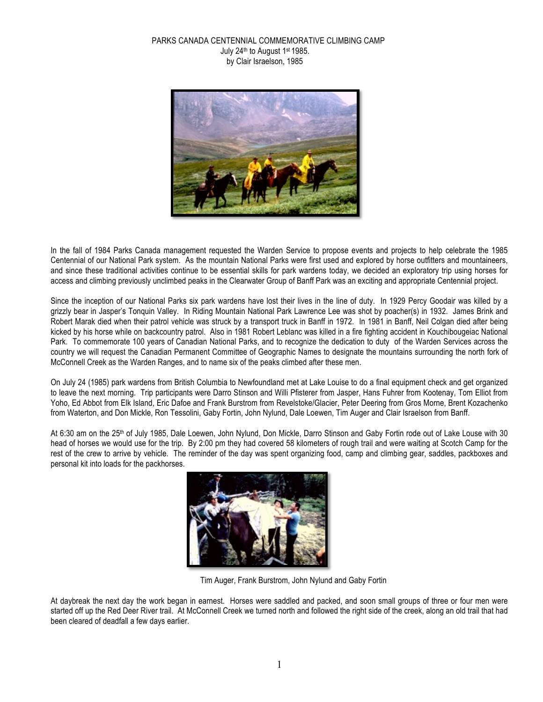### PARKS CANADA CENTENNIAL COMMEMORATIVE CLIMBING CAMP July 24th to August 1st 1985. by Clair Israelson, 1985



In the fall of 1984 Parks Canada management requested the Warden Service to propose events and projects to help celebrate the 1985 Centennial of our National Park system. As the mountain National Parks were first used and explored by horse outfitters and mountaineers, and since these traditional activities continue to be essential skills for park wardens today, we decided an exploratory trip using horses for access and climbing previously unclimbed peaks in the Clearwater Group of Banff Park was an exciting and appropriate Centennial project.

Since the inception of our National Parks six park wardens have lost their lives in the line of duty. In 1929 Percy Goodair was killed by a grizzly bear in Jasper's Tonquin Valley. In Riding Mountain National Park Lawrence Lee was shot by poacher(s) in 1932. James Brink and Robert Marak died when their patrol vehicle was struck by a transport truck in Banff in 1972. In 1981 in Banff, Neil Colgan died after being kicked by his horse while on backcountry patrol. Also in 1981 Robert Leblanc was killed in a fire fighting accident in Kouchibougeiac National Park. To commemorate 100 years of Canadian National Parks, and to recognize the dedication to duty of the Warden Services across the country we will request the Canadian Permanent Committee of Geographic Names to designate the mountains surrounding the north fork of McConnell Creek as the Warden Ranges, and to name six of the peaks climbed after these men.

On July 24 (1985) park wardens from British Columbia to Newfoundland met at Lake Louise to do a final equipment check and get organized to leave the next morning. Trip participants were Darro Stinson and Willi Pfisterer from Jasper, Hans Fuhrer from Kootenay, Tom Elliot from Yoho, Ed Abbot from Elk Island, Eric Dafoe and Frank Burstrom from Revelstoke/Glacier, Peter Deering from Gros Morne, Brent Kozachenko from Waterton, and Don Mickle, Ron Tessolini, Gaby Fortin, John Nylund, Dale Loewen, Tim Auger and Clair Israelson from Banff.

At 6:30 am on the 25<sup>th</sup> of July 1985, Dale Loewen, John Nylund, Don Mickle, Darro Stinson and Gaby Fortin rode out of Lake Louse with 30 head of horses we would use for the trip. By 2:00 pm they had covered 58 kilometers of rough trail and were waiting at Scotch Camp for the rest of the crew to arrive by vehicle. The reminder of the day was spent organizing food, camp and climbing gear, saddles, packboxes and personal kit into loads for the packhorses.



Tim Auger, Frank Burstrom, John Nylund and Gaby Fortin

At daybreak the next day the work began in earnest. Horses were saddled and packed, and soon small groups of three or four men were started off up the Red Deer River trail. At McConnell Creek we turned north and followed the right side of the creek, along an old trail that had been cleared of deadfall a few days earlier.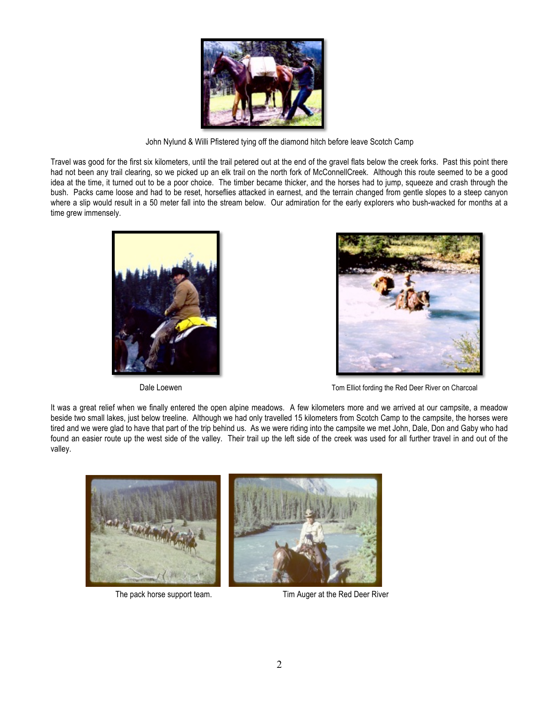

John Nylund & Willi Pfistered tying off the diamond hitch before leave Scotch Camp

Travel was good for the first six kilometers, until the trail petered out at the end of the gravel flats below the creek forks. Past this point there had not been any trail clearing, so we picked up an elk trail on the north fork of McConnellCreek. Although this route seemed to be a good idea at the time, it turned out to be a poor choice. The timber became thicker, and the horses had to jump, squeeze and crash through the bush. Packs came loose and had to be reset, horseflies attacked in earnest, and the terrain changed from gentle slopes to a steep canyon where a slip would result in a 50 meter fall into the stream below. Our admiration for the early explorers who bush-wacked for months at a time grew immensely.





Dale Loewen **Tom Elliot** fording the Red Deer River on Charcoal

It was a great relief when we finally entered the open alpine meadows. A few kilometers more and we arrived at our campsite, a meadow beside two small lakes, just below treeline. Although we had only travelled 15 kilometers from Scotch Camp to the campsite, the horses were tired and we were glad to have that part of the trip behind us. As we were riding into the campsite we met John, Dale, Don and Gaby who had found an easier route up the west side of the valley. Their trail up the left side of the creek was used for all further travel in and out of the valley.



The pack horse support team. Tim Auger at the Red Deer River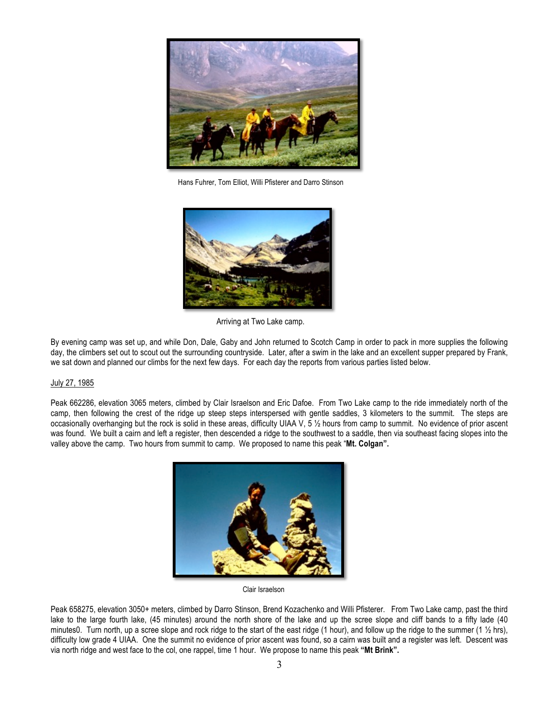

Hans Fuhrer, Tom Elliot, Willi Pfisterer and Darro Stinson



Arriving at Two Lake camp.

By evening camp was set up, and while Don, Dale, Gaby and John returned to Scotch Camp in order to pack in more supplies the following day, the climbers set out to scout out the surrounding countryside. Later, after a swim in the lake and an excellent supper prepared by Frank, we sat down and planned our climbs for the next few days. For each day the reports from various parties listed below.

# July 27, 1985

Peak 662286, elevation 3065 meters, climbed by Clair Israelson and Eric Dafoe. From Two Lake camp to the ride immediately north of the camp, then following the crest of the ridge up steep steps interspersed with gentle saddles, 3 kilometers to the summit. The steps are occasionally overhanging but the rock is solid in these areas, difficulty UIAA V, 5 ½ hours from camp to summit. No evidence of prior ascent was found. We built a cairn and left a register, then descended a ridge to the southwest to a saddle, then via southeast facing slopes into the valley above the camp. Two hours from summit to camp. We proposed to name this peak "**Mt. Colgan".**



Peak 658275, elevation 3050+ meters, climbed by Darro Stinson, Brend Kozachenko and Willi Pfisterer. From Two Lake camp, past the third lake to the large fourth lake, (45 minutes) around the north shore of the lake and up the scree slope and cliff bands to a fifty lade (40 minutes0. Turn north, up a scree slope and rock ridge to the start of the east ridge (1 hour), and follow up the ridge to the summer (1  $\frac{1}{2}$  hrs), difficulty low grade 4 UIAA. One the summit no evidence of prior ascent was found, so a cairn was built and a register was left. Descent was via north ridge and west face to the col, one rappel, time 1 hour. We propose to name this peak **"Mt Brink".**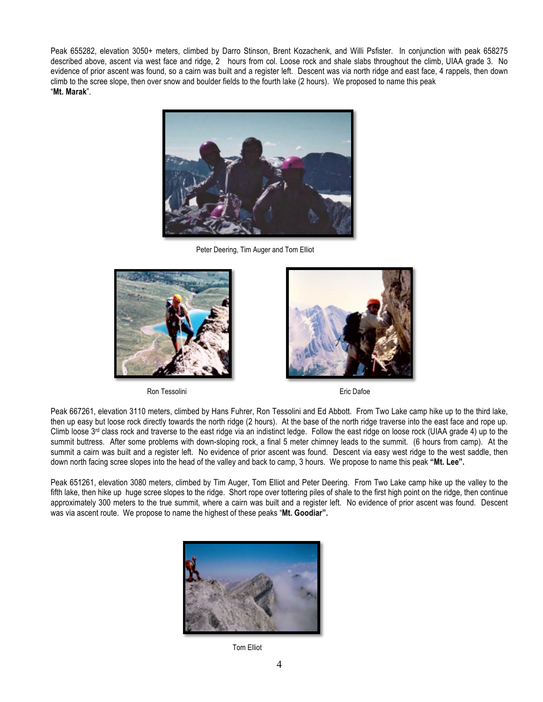Peak 655282, elevation 3050+ meters, climbed by Darro Stinson, Brent Kozachenk, and Willi Psfister. In conjunction with peak 658275 described above, ascent via west face and ridge, 2 hours from col. Loose rock and shale slabs throughout the climb, UIAA grade 3. No evidence of prior ascent was found, so a cairn was built and a register left. Descent was via north ridge and east face, 4 rappels, then down climb to the scree slope, then over snow and boulder fields to the fourth lake (2 hours). We proposed to name this peak "**Mt. Marak**".



Peter Deering, Tim Auger and Tom Elliot





Peak 667261, elevation 3110 meters, climbed by Hans Fuhrer, Ron Tessolini and Ed Abbott. From Two Lake camp hike up to the third lake, then up easy but loose rock directly towards the north ridge (2 hours). At the base of the north ridge traverse into the east face and rope up. Climb loose 3<sup>rd</sup> class rock and traverse to the east ridge via an indistinct ledge. Follow the east ridge on loose rock (UIAA grade 4) up to the summit buttress. After some problems with down-sloping rock, a final 5 meter chimney leads to the summit. (6 hours from camp). At the summit a cairn was built and a register left. No evidence of prior ascent was found. Descent via easy west ridge to the west saddle, then down north facing scree slopes into the head of the valley and back to camp, 3 hours. We propose to name this peak **"Mt. Lee".**

Peak 651261, elevation 3080 meters, climbed by Tim Auger, Tom Elliot and Peter Deering. From Two Lake camp hike up the valley to the fifth lake, then hike up huge scree slopes to the ridge. Short rope over tottering piles of shale to the first high point on the ridge, then continue approximately 300 meters to the true summit, where a cairn was built and a register left. No evidence of prior ascent was found. Descent was via ascent route. We propose to name the highest of these peaks "**Mt. Goodiar".**



**Tom Elliot**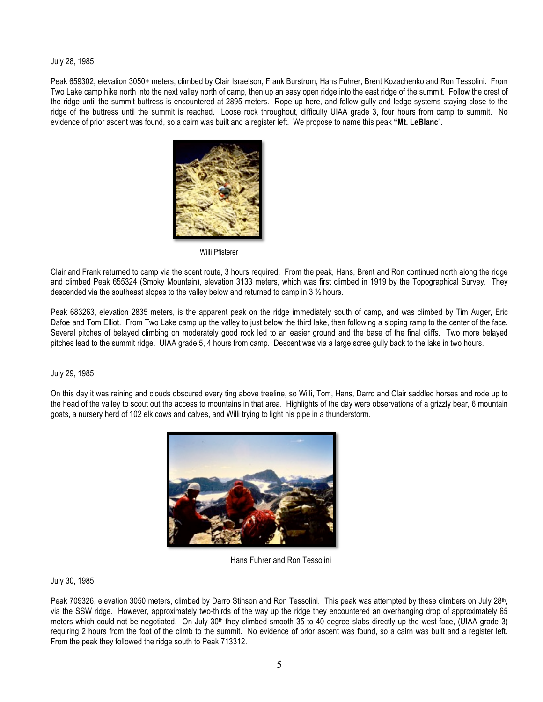### July 28, 1985

Peak 659302, elevation 3050+ meters, climbed by Clair Israelson, Frank Burstrom, Hans Fuhrer, Brent Kozachenko and Ron Tessolini. From Two Lake camp hike north into the next valley north of camp, then up an easy open ridge into the east ridge of the summit. Follow the crest of the ridge until the summit buttress is encountered at 2895 meters. Rope up here, and follow gully and ledge systems staying close to the ridge of the buttress until the summit is reached. Loose rock throughout, difficulty UIAA grade 3, four hours from camp to summit. No evidence of prior ascent was found, so a cairn was built and a register left. We propose to name this peak **"Mt. LeBlanc**".



Clair and Frank returned to camp via the scent route, 3 hours required. From the peak, Hans, Brent and Ron continued north along the ridge and climbed Peak 655324 (Smoky Mountain), elevation 3133 meters, which was first climbed in 1919 by the Topographical Survey. They descended via the southeast slopes to the valley below and returned to camp in 3 ½ hours.

Peak 683263, elevation 2835 meters, is the apparent peak on the ridge immediately south of camp, and was climbed by Tim Auger, Eric Dafoe and Tom Elliot. From Two Lake camp up the valley to just below the third lake, then following a sloping ramp to the center of the face. Several pitches of belayed climbing on moderately good rock led to an easier ground and the base of the final cliffs. Two more belayed pitches lead to the summit ridge. UIAA grade 5, 4 hours from camp. Descent was via a large scree gully back to the lake in two hours.

# July 29, 1985

On this day it was raining and clouds obscured every ting above treeline, so Willi, Tom, Hans, Darro and Clair saddled horses and rode up to the head of the valley to scout out the access to mountains in that area. Highlights of the day were observations of a grizzly bear, 6 mountain goats, a nursery herd of 102 elk cows and calves, and Willi trying to light his pipe in a thunderstorm.



Hans Fuhrer and Ron Tessolini

### July 30, 1985

Peak 709326, elevation 3050 meters, climbed by Darro Stinson and Ron Tessolini. This peak was attempted by these climbers on July 28<sup>th</sup>, via the SSW ridge. However, approximately two-thirds of the way up the ridge they encountered an overhanging drop of approximately 65 meters which could not be negotiated. On July 30<sup>th</sup> they climbed smooth 35 to 40 degree slabs directly up the west face, (UIAA grade 3) requiring 2 hours from the foot of the climb to the summit. No evidence of prior ascent was found, so a cairn was built and a register left. From the peak they followed the ridge south to Peak 713312.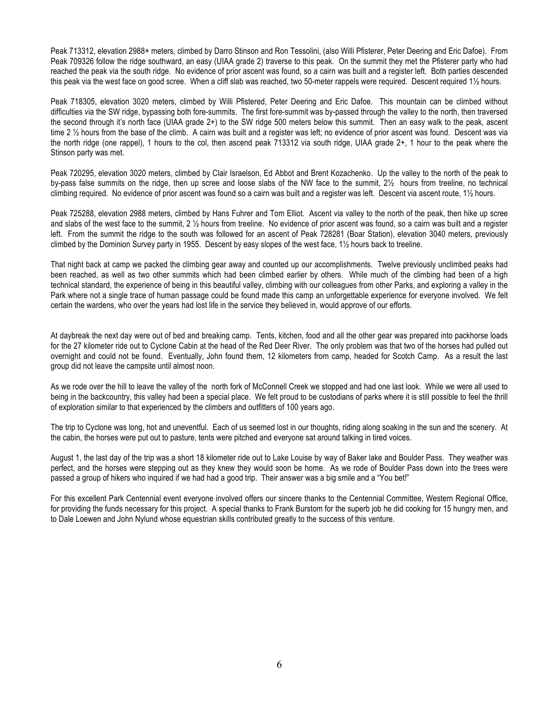Peak 713312, elevation 2988+ meters, climbed by Darro Stinson and Ron Tessolini, (also Willi Pfisterer, Peter Deering and Eric Dafoe). From Peak 709326 follow the ridge southward, an easy (UIAA grade 2) traverse to this peak. On the summit they met the Pfisterer party who had reached the peak via the south ridge. No evidence of prior ascent was found, so a cairn was built and a register left. Both parties descended this peak via the west face on good scree. When a cliff slab was reached, two 50-meter rappels were required. Descent required 1½ hours.

Peak 718305, elevation 3020 meters, climbed by Willi Pfistered, Peter Deering and Eric Dafoe. This mountain can be climbed without difficulties via the SW ridge, bypassing both fore-summits. The first fore-summit was by-passed through the valley to the north, then traversed the second through it's north face (UIAA grade 2+) to the SW ridge 500 meters below this summit. Then an easy walk to the peak, ascent time 2  $\frac{1}{2}$  hours from the base of the climb. A cairn was built and a register was left; no evidence of prior ascent was found. Descent was via the north ridge (one rappel), 1 hours to the col, then ascend peak 713312 via south ridge, UIAA grade 2+, 1 hour to the peak where the Stinson party was met.

Peak 720295, elevation 3020 meters, climbed by Clair Israelson, Ed Abbot and Brent Kozachenko. Up the valley to the north of the peak to by-pass false summits on the ridge, then up scree and loose slabs of the NW face to the summit, 2½ hours from treeline, no technical climbing required. No evidence of prior ascent was found so a cairn was built and a register was left. Descent via ascent route, 1½ hours.

Peak 725288, elevation 2988 meters, climbed by Hans Fuhrer and Tom Elliot. Ascent via valley to the north of the peak, then hike up scree and slabs of the west face to the summit, 2 ½ hours from treeline. No evidence of prior ascent was found, so a cairn was built and a register left. From the summit the ridge to the south was followed for an ascent of Peak 728281 (Boar Station), elevation 3040 meters, previously climbed by the Dominion Survey party in 1955. Descent by easy slopes of the west face, 1½ hours back to treeline.

That night back at camp we packed the climbing gear away and counted up our accomplishments. Twelve previously unclimbed peaks had been reached, as well as two other summits which had been climbed earlier by others. While much of the climbing had been of a high technical standard, the experience of being in this beautiful valley, climbing with our colleagues from other Parks, and exploring a valley in the Park where not a single trace of human passage could be found made this camp an unforgettable experience for everyone involved. We felt certain the wardens, who over the years had lost life in the service they believed in, would approve of our efforts.

At daybreak the next day were out of bed and breaking camp. Tents, kitchen, food and all the other gear was prepared into packhorse loads for the 27 kilometer ride out to Cyclone Cabin at the head of the Red Deer River. The only problem was that two of the horses had pulled out overnight and could not be found. Eventually, John found them, 12 kilometers from camp, headed for Scotch Camp. As a result the last group did not leave the campsite until almost noon.

As we rode over the hill to leave the valley of the north fork of McConnell Creek we stopped and had one last look. While we were all used to being in the backcountry, this valley had been a special place. We felt proud to be custodians of parks where it is still possible to feel the thrill of exploration similar to that experienced by the climbers and outfitters of 100 years ago.

The trip to Cyclone was long, hot and uneventful. Each of us seemed lost in our thoughts, riding along soaking in the sun and the scenery. At the cabin, the horses were put out to pasture, tents were pitched and everyone sat around talking in tired voices.

August 1, the last day of the trip was a short 18 kilometer ride out to Lake Louise by way of Baker lake and Boulder Pass. They weather was perfect, and the horses were stepping out as they knew they would soon be home. As we rode of Boulder Pass down into the trees were passed a group of hikers who inquired if we had had a good trip. Their answer was a big smile and a "You bet!"

For this excellent Park Centennial event everyone involved offers our sincere thanks to the Centennial Committee, Western Regional Office, for providing the funds necessary for this project. A special thanks to Frank Burstom for the superb job he did cooking for 15 hungry men, and to Dale Loewen and John Nylund whose equestrian skills contributed greatly to the success of this venture.